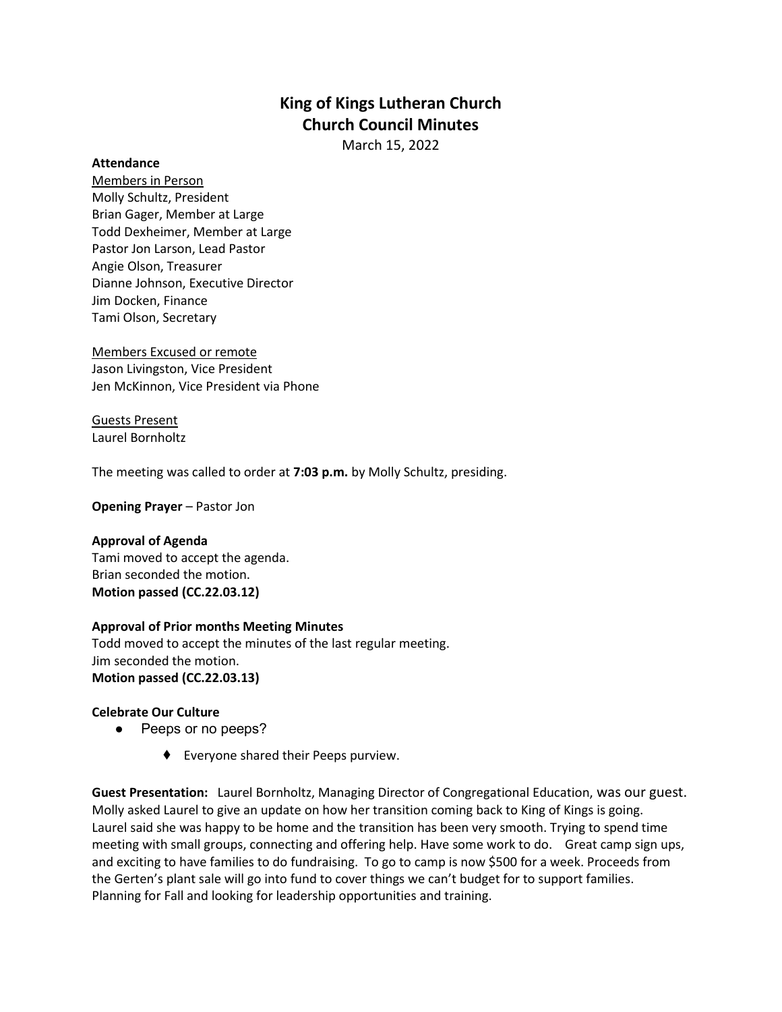# **King of Kings Lutheran Church Church Council Minutes**

March 15, 2022

#### **Attendance**

Members in Person Molly Schultz, President Brian Gager, Member at Large Todd Dexheimer, Member at Large Pastor Jon Larson, Lead Pastor Angie Olson, Treasurer Dianne Johnson, Executive Director Jim Docken, Finance Tami Olson, Secretary

Members Excused or remote Jason Livingston, Vice President Jen McKinnon, Vice President via Phone

Guests Present Laurel Bornholtz

The meeting was called to order at **7:03 p.m.** by Molly Schultz, presiding.

**Opening Prayer** – Pastor Jon

# **Approval of Agenda**

Tami moved to accept the agenda. Brian seconded the motion. **Motion passed (CC.22.03.12)**

# **Approval of Prior months Meeting Minutes**

Todd moved to accept the minutes of the last regular meeting. Jim seconded the motion. **Motion passed (CC.22.03.13)**

# **Celebrate Our Culture**

- Peeps or no peeps?
	- ⬧ Everyone shared their Peeps purview.

**Guest Presentation:** Laurel Bornholtz, Managing Director of Congregational Education, was our guest. Molly asked Laurel to give an update on how her transition coming back to King of Kings is going. Laurel said she was happy to be home and the transition has been very smooth. Trying to spend time meeting with small groups, connecting and offering help. Have some work to do. Great camp sign ups, and exciting to have families to do fundraising. To go to camp is now \$500 for a week. Proceeds from the Gerten's plant sale will go into fund to cover things we can't budget for to support families. Planning for Fall and looking for leadership opportunities and training.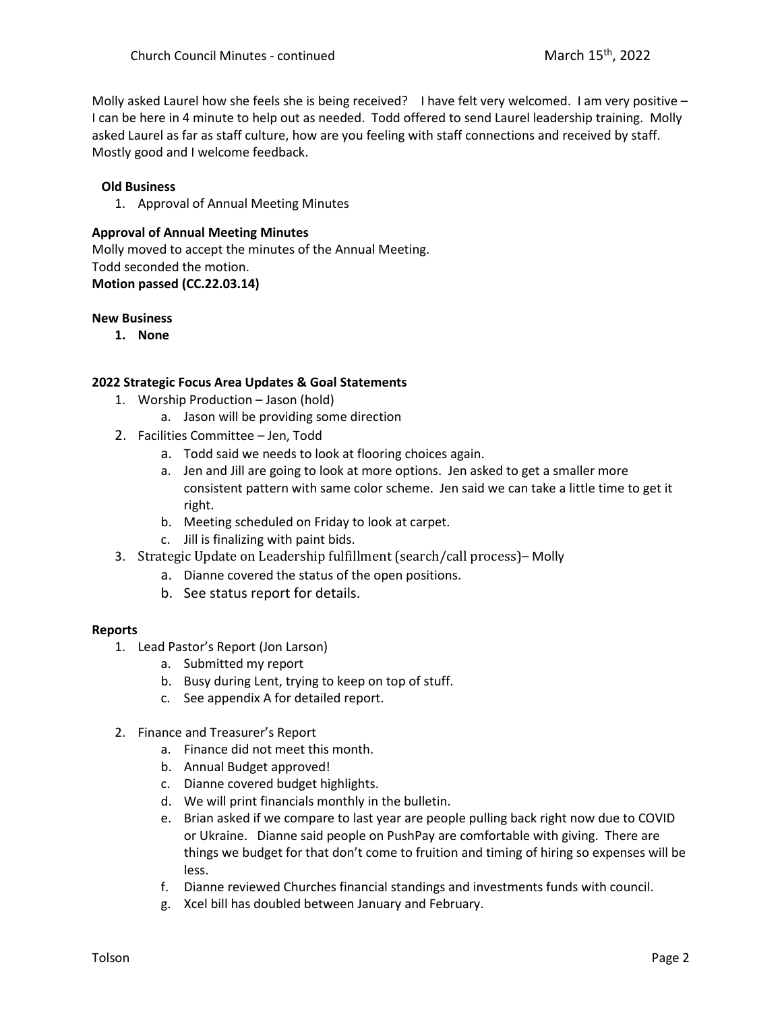Molly asked Laurel how she feels she is being received? I have felt very welcomed. I am very positive  $-$ I can be here in 4 minute to help out as needed. Todd offered to send Laurel leadership training. Molly asked Laurel as far as staff culture, how are you feeling with staff connections and received by staff. Mostly good and I welcome feedback.

# **Old Business**

1. Approval of Annual Meeting Minutes

# **Approval of Annual Meeting Minutes**

Molly moved to accept the minutes of the Annual Meeting. Todd seconded the motion. **Motion passed (CC.22.03.14)**

#### **New Business**

**1. None**

# **2022 Strategic Focus Area Updates & Goal Statements**

- 1. Worship Production Jason (hold)
	- a. Jason will be providing some direction
- 2. Facilities Committee Jen, Todd
	- a. Todd said we needs to look at flooring choices again.
	- a. Jen and Jill are going to look at more options. Jen asked to get a smaller more consistent pattern with same color scheme. Jen said we can take a little time to get it right.
	- b. Meeting scheduled on Friday to look at carpet.
	- c. Jill is finalizing with paint bids.
- 3. Strategic Update on Leadership fulfillment (search/call process)– Molly
	- a. Dianne covered the status of the open positions.
	- b. See status report for details.

# **Reports**

- 1. Lead Pastor's Report (Jon Larson)
	- a. Submitted my report
	- b. Busy during Lent, trying to keep on top of stuff.
	- c. See appendix A for detailed report.
- 2. Finance and Treasurer's Report
	- a. Finance did not meet this month.
	- b. Annual Budget approved!
	- c. Dianne covered budget highlights.
	- d. We will print financials monthly in the bulletin.
	- e. Brian asked if we compare to last year are people pulling back right now due to COVID or Ukraine. Dianne said people on PushPay are comfortable with giving. There are things we budget for that don't come to fruition and timing of hiring so expenses will be less.
	- f. Dianne reviewed Churches financial standings and investments funds with council.
	- g. Xcel bill has doubled between January and February.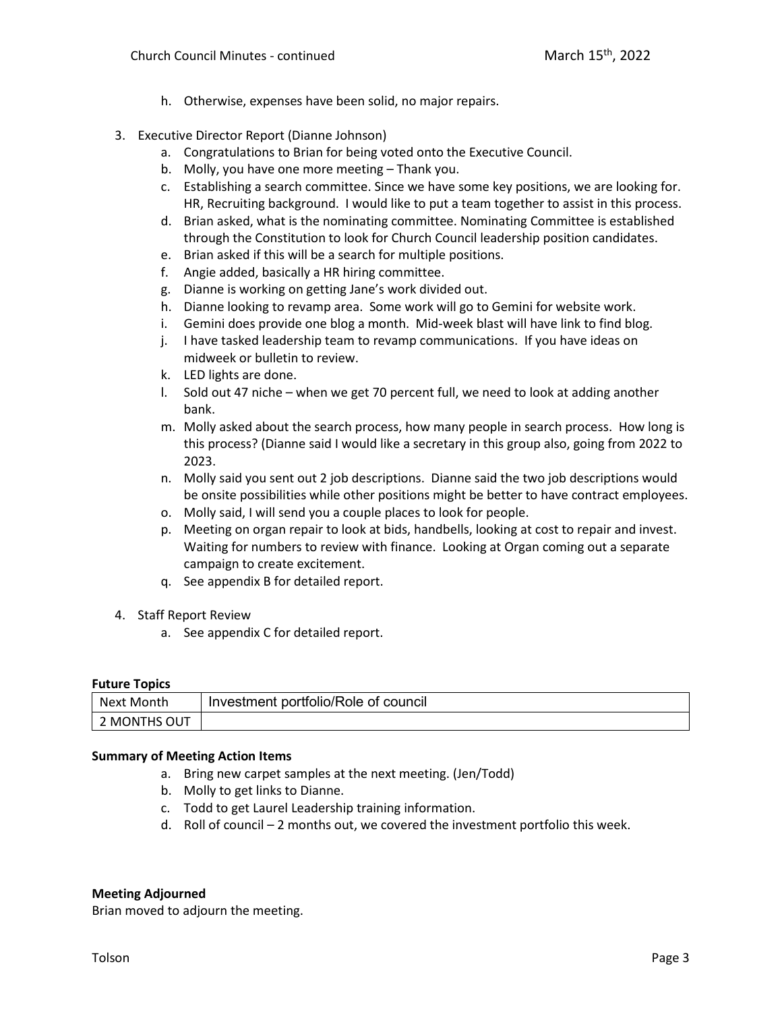- h. Otherwise, expenses have been solid, no major repairs.
- 3. Executive Director Report (Dianne Johnson)
	- a. Congratulations to Brian for being voted onto the Executive Council.
	- b. Molly, you have one more meeting Thank you.
	- c. Establishing a search committee. Since we have some key positions, we are looking for. HR, Recruiting background. I would like to put a team together to assist in this process.
	- d. Brian asked, what is the nominating committee. Nominating Committee is established through the Constitution to look for Church Council leadership position candidates.
	- e. Brian asked if this will be a search for multiple positions.
	- f. Angie added, basically a HR hiring committee.
	- g. Dianne is working on getting Jane's work divided out.
	- h. Dianne looking to revamp area. Some work will go to Gemini for website work.
	- i. Gemini does provide one blog a month. Mid-week blast will have link to find blog.
	- j. I have tasked leadership team to revamp communications. If you have ideas on midweek or bulletin to review.
	- k. LED lights are done.
	- l. Sold out 47 niche when we get 70 percent full, we need to look at adding another bank.
	- m. Molly asked about the search process, how many people in search process. How long is this process? (Dianne said I would like a secretary in this group also, going from 2022 to 2023.
	- n. Molly said you sent out 2 job descriptions. Dianne said the two job descriptions would be onsite possibilities while other positions might be better to have contract employees.
	- o. Molly said, I will send you a couple places to look for people.
	- p. Meeting on organ repair to look at bids, handbells, looking at cost to repair and invest. Waiting for numbers to review with finance. Looking at Organ coming out a separate campaign to create excitement.
	- q. See appendix B for detailed report.
- 4. Staff Report Review
	- a. See appendix C for detailed report.

# **Future Topics**

| Next Month   | Investment portfolio/Role of council |
|--------------|--------------------------------------|
| 2 MONTHS OUT |                                      |

#### **Summary of Meeting Action Items**

- a. Bring new carpet samples at the next meeting. (Jen/Todd)
- b. Molly to get links to Dianne.
- c. Todd to get Laurel Leadership training information.
- d. Roll of council 2 months out, we covered the investment portfolio this week.

#### **Meeting Adjourned**

Brian moved to adjourn the meeting.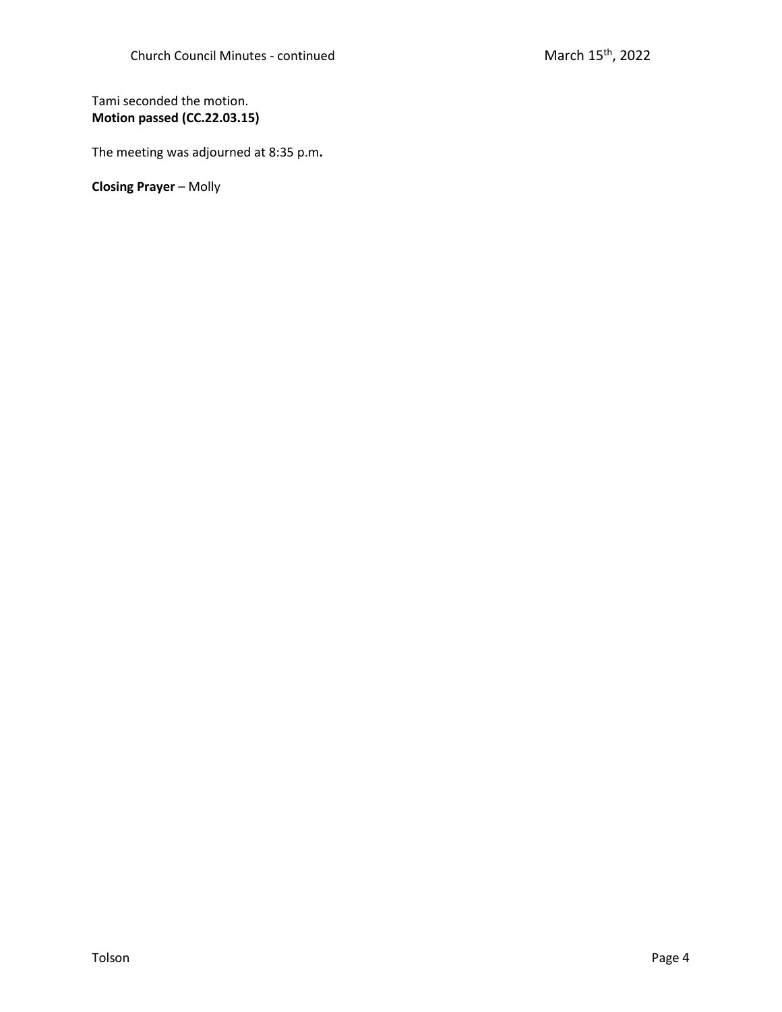# Tami seconded the motion. **Motion passed (CC.22.03.15)**

The meeting was adjourned at 8:35 p.m**.**

**Closing Prayer** – Molly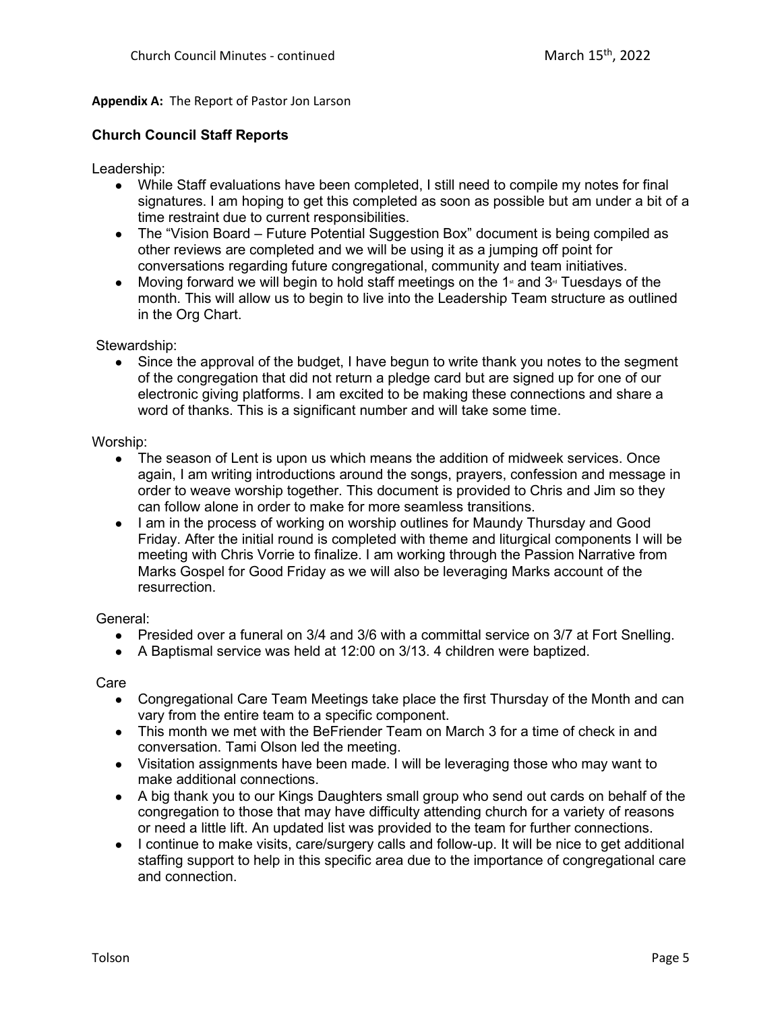# **Appendix A:** The Report of Pastor Jon Larson

# **Church Council Staff Reports**

Leadership:

- While Staff evaluations have been completed, I still need to compile my notes for final signatures. I am hoping to get this completed as soon as possible but am under a bit of a time restraint due to current responsibilities.
- The "Vision Board Future Potential Suggestion Box" document is being compiled as other reviews are completed and we will be using it as a jumping off point for conversations regarding future congregational, community and team initiatives.
- Moving forward we will begin to hold staff meetings on the 1<sup>st</sup> and  $3<sup>d</sup>$  Tuesdays of the month. This will allow us to begin to live into the Leadership Team structure as outlined in the Org Chart.

Stewardship:

Since the approval of the budget, I have begun to write thank you notes to the segment of the congregation that did not return a pledge card but are signed up for one of our electronic giving platforms. I am excited to be making these connections and share a word of thanks. This is a significant number and will take some time.

# Worship:

- The season of Lent is upon us which means the addition of midweek services. Once again, I am writing introductions around the songs, prayers, confession and message in order to weave worship together. This document is provided to Chris and Jim so they can follow alone in order to make for more seamless transitions.
- I am in the process of working on worship outlines for Maundy Thursday and Good Friday. After the initial round is completed with theme and liturgical components I will be meeting with Chris Vorrie to finalize. I am working through the Passion Narrative from Marks Gospel for Good Friday as we will also be leveraging Marks account of the resurrection.

# General:

- Presided over a funeral on 3/4 and 3/6 with a committal service on 3/7 at Fort Snelling.
- A Baptismal service was held at 12:00 on 3/13. 4 children were baptized.

**Care** 

- Congregational Care Team Meetings take place the first Thursday of the Month and can vary from the entire team to a specific component.
- This month we met with the BeFriender Team on March 3 for a time of check in and conversation. Tami Olson led the meeting.
- Visitation assignments have been made. I will be leveraging those who may want to make additional connections.
- A big thank you to our Kings Daughters small group who send out cards on behalf of the congregation to those that may have difficulty attending church for a variety of reasons or need a little lift. An updated list was provided to the team for further connections.
- I continue to make visits, care/surgery calls and follow-up. It will be nice to get additional staffing support to help in this specific area due to the importance of congregational care and connection.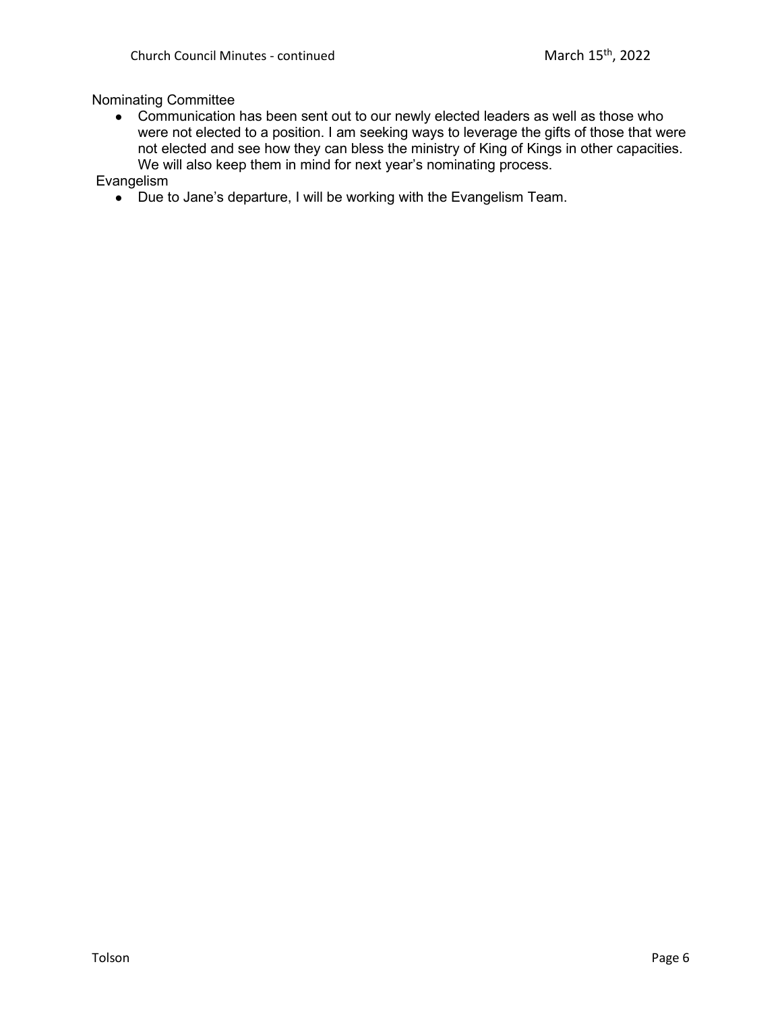# Nominating Committee

• Communication has been sent out to our newly elected leaders as well as those who were not elected to a position. I am seeking ways to leverage the gifts of those that were not elected and see how they can bless the ministry of King of Kings in other capacities. We will also keep them in mind for next year's nominating process.

Evangelism

● Due to Jane's departure, I will be working with the Evangelism Team.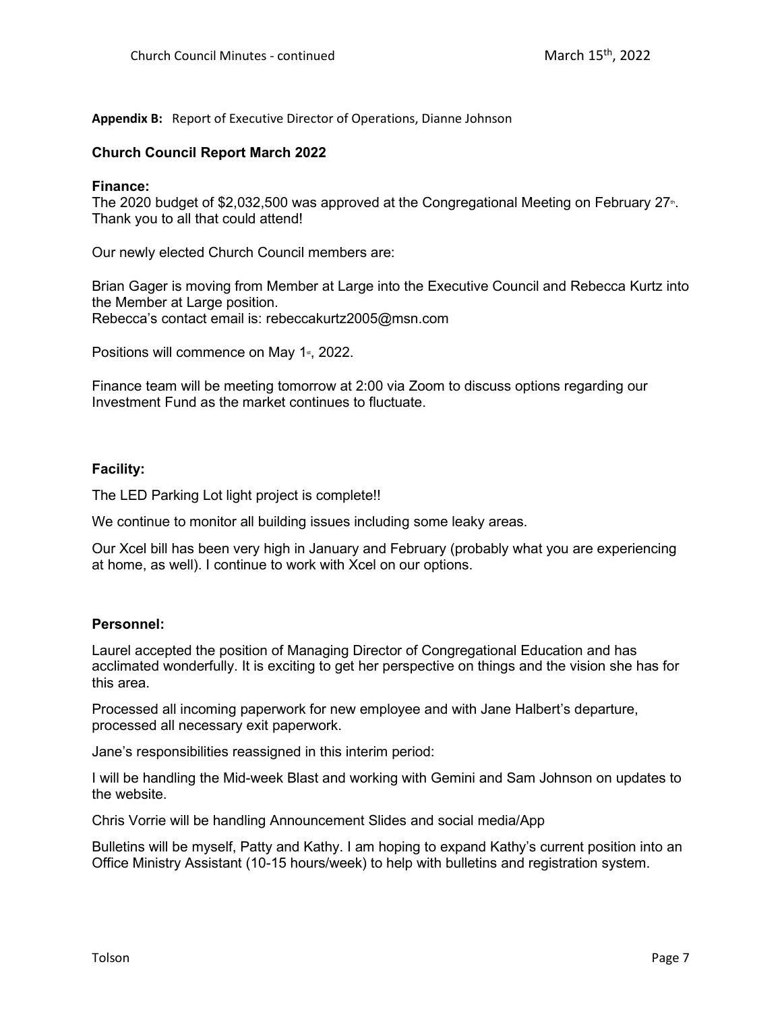# **Appendix B:** Report of Executive Director of Operations, Dianne Johnson

# **Church Council Report March 2022**

# **Finance:**

The 2020 budget of \$2,032,500 was approved at the Congregational Meeting on February  $27<sup>n</sup>$ . Thank you to all that could attend!

Our newly elected Church Council members are:

Brian Gager is moving from Member at Large into the Executive Council and Rebecca Kurtz into the Member at Large position. Rebecca's contact email is: rebeccakurtz2005@msn.com

Positions will commence on May 1<sup>st</sup>, 2022.

Finance team will be meeting tomorrow at 2:00 via Zoom to discuss options regarding our Investment Fund as the market continues to fluctuate.

# **Facility:**

The LED Parking Lot light project is complete!!

We continue to monitor all building issues including some leaky areas.

Our Xcel bill has been very high in January and February (probably what you are experiencing at home, as well). I continue to work with Xcel on our options.

# **Personnel:**

Laurel accepted the position of Managing Director of Congregational Education and has acclimated wonderfully. It is exciting to get her perspective on things and the vision she has for this area.

Processed all incoming paperwork for new employee and with Jane Halbert's departure, processed all necessary exit paperwork.

Jane's responsibilities reassigned in this interim period:

I will be handling the Mid-week Blast and working with Gemini and Sam Johnson on updates to the website.

Chris Vorrie will be handling Announcement Slides and social media/App

Bulletins will be myself, Patty and Kathy. I am hoping to expand Kathy's current position into an Office Ministry Assistant (10-15 hours/week) to help with bulletins and registration system.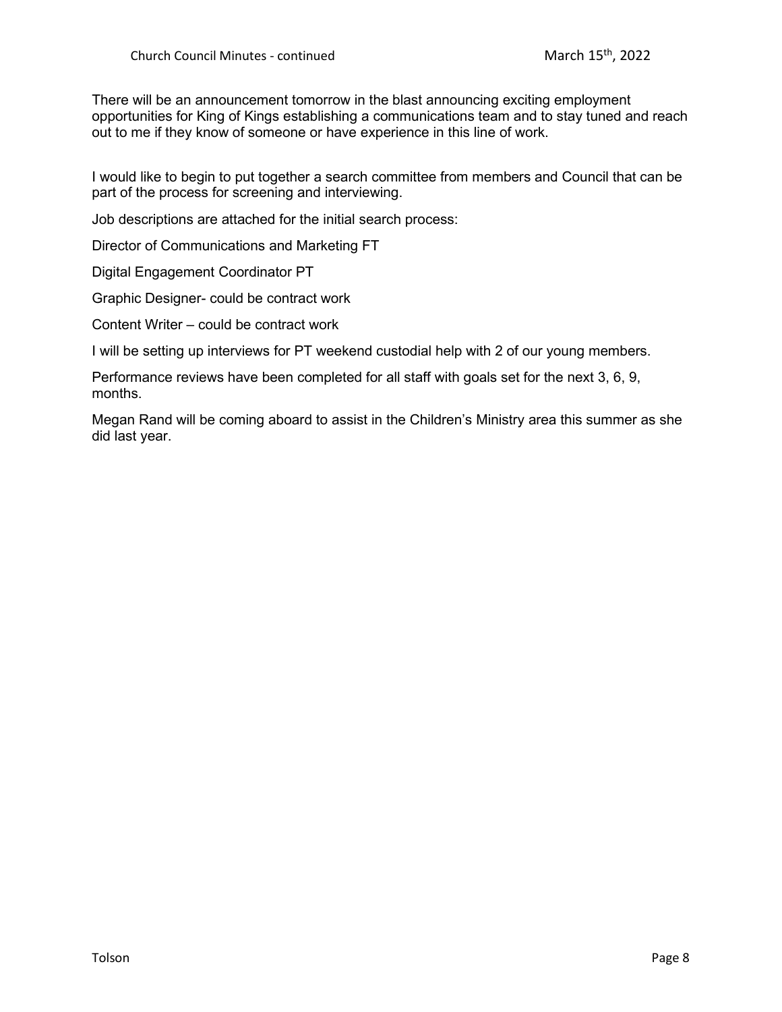There will be an announcement tomorrow in the blast announcing exciting employment opportunities for King of Kings establishing a communications team and to stay tuned and reach out to me if they know of someone or have experience in this line of work.

I would like to begin to put together a search committee from members and Council that can be part of the process for screening and interviewing.

Job descriptions are attached for the initial search process:

Director of Communications and Marketing FT

Digital Engagement Coordinator PT

Graphic Designer- could be contract work

Content Writer – could be contract work

I will be setting up interviews for PT weekend custodial help with 2 of our young members.

Performance reviews have been completed for all staff with goals set for the next 3, 6, 9, months.

Megan Rand will be coming aboard to assist in the Children's Ministry area this summer as she did last year.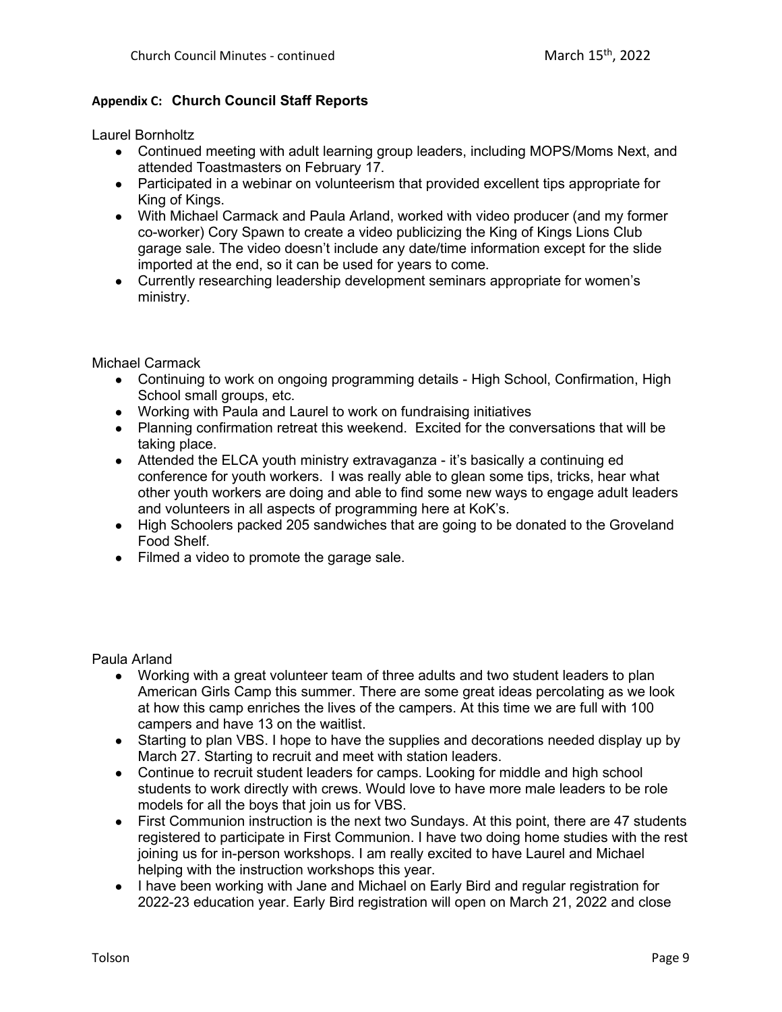# **Appendix C: Church Council Staff Reports**

Laurel Bornholtz

- Continued meeting with adult learning group leaders, including MOPS/Moms Next, and attended Toastmasters on February 17.
- Participated in a webinar on volunteerism that provided excellent tips appropriate for King of Kings.
- With Michael Carmack and Paula Arland, worked with video producer (and my former co-worker) Cory Spawn to create a video publicizing the King of Kings Lions Club garage sale. The video doesn't include any date/time information except for the slide imported at the end, so it can be used for years to come.
- Currently researching leadership development seminars appropriate for women's ministry.

Michael Carmack

- Continuing to work on ongoing programming details High School, Confirmation, High School small groups, etc.
- Working with Paula and Laurel to work on fundraising initiatives
- Planning confirmation retreat this weekend. Excited for the conversations that will be taking place.
- Attended the ELCA youth ministry extravaganza it's basically a continuing ed conference for youth workers. I was really able to glean some tips, tricks, hear what other youth workers are doing and able to find some new ways to engage adult leaders and volunteers in all aspects of programming here at KoK's.
- High Schoolers packed 205 sandwiches that are going to be donated to the Groveland Food Shelf.
- Filmed a video to promote the garage sale.

Paula Arland

- Working with a great volunteer team of three adults and two student leaders to plan American Girls Camp this summer. There are some great ideas percolating as we look at how this camp enriches the lives of the campers. At this time we are full with 100 campers and have 13 on the waitlist.
- Starting to plan VBS. I hope to have the supplies and decorations needed display up by March 27. Starting to recruit and meet with station leaders.
- Continue to recruit student leaders for camps. Looking for middle and high school students to work directly with crews. Would love to have more male leaders to be role models for all the boys that join us for VBS.
- First Communion instruction is the next two Sundays. At this point, there are 47 students registered to participate in First Communion. I have two doing home studies with the rest joining us for in-person workshops. I am really excited to have Laurel and Michael helping with the instruction workshops this year.
- I have been working with Jane and Michael on Early Bird and regular registration for 2022-23 education year. Early Bird registration will open on March 21, 2022 and close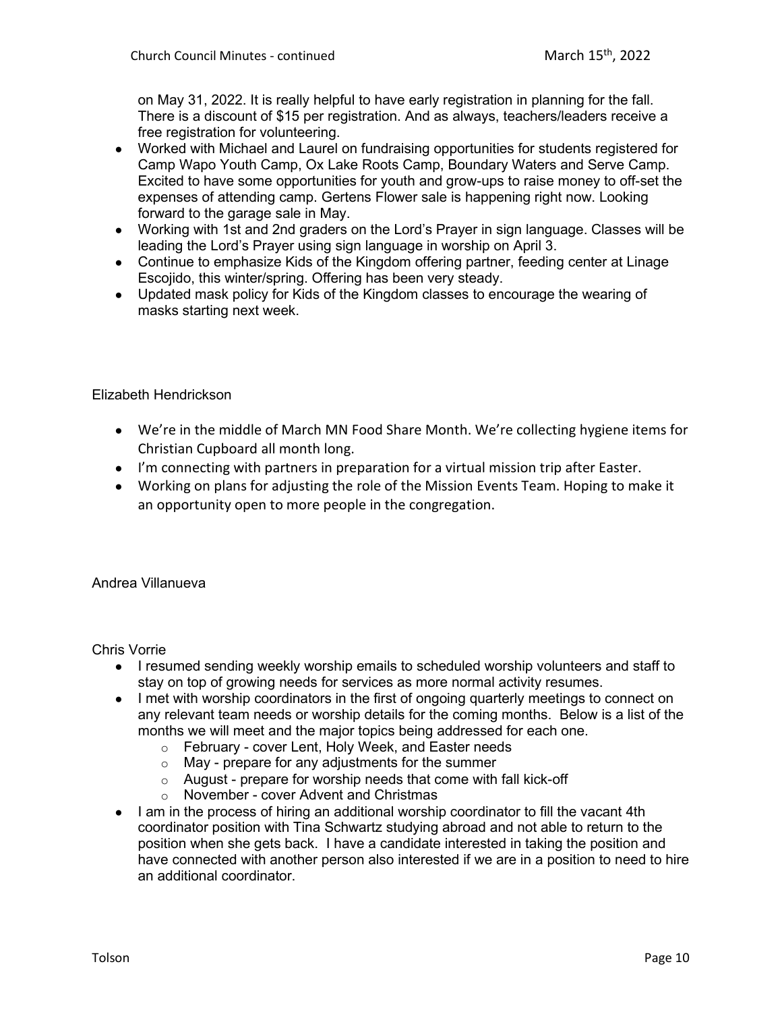on May 31, 2022. It is really helpful to have early registration in planning for the fall. There is a discount of \$15 per registration. And as always, teachers/leaders receive a free registration for volunteering.

- Worked with Michael and Laurel on fundraising opportunities for students registered for Camp Wapo Youth Camp, Ox Lake Roots Camp, Boundary Waters and Serve Camp. Excited to have some opportunities for youth and grow-ups to raise money to off-set the expenses of attending camp. Gertens Flower sale is happening right now. Looking forward to the garage sale in May.
- Working with 1st and 2nd graders on the Lord's Prayer in sign language. Classes will be leading the Lord's Prayer using sign language in worship on April 3.
- Continue to emphasize Kids of the Kingdom offering partner, feeding center at Linage Escojido, this winter/spring. Offering has been very steady.
- Updated mask policy for Kids of the Kingdom classes to encourage the wearing of masks starting next week.

# Elizabeth Hendrickson

- We're in the middle of March MN Food Share Month. We're collecting hygiene items for Christian Cupboard all month long.
- I'm connecting with partners in preparation for a virtual mission trip after Easter.
- Working on plans for adjusting the role of the Mission Events Team. Hoping to make it an opportunity open to more people in the congregation.

# Andrea Villanueva

Chris Vorrie

- I resumed sending weekly worship emails to scheduled worship volunteers and staff to stay on top of growing needs for services as more normal activity resumes.
- I met with worship coordinators in the first of ongoing quarterly meetings to connect on any relevant team needs or worship details for the coming months. Below is a list of the months we will meet and the major topics being addressed for each one.
	- o February cover Lent, Holy Week, and Easter needs
	- $\circ$  May prepare for any adjustments for the summer
	- $\circ$  August prepare for worship needs that come with fall kick-off
	- o November cover Advent and Christmas
- I am in the process of hiring an additional worship coordinator to fill the vacant 4th coordinator position with Tina Schwartz studying abroad and not able to return to the position when she gets back. I have a candidate interested in taking the position and have connected with another person also interested if we are in a position to need to hire an additional coordinator.